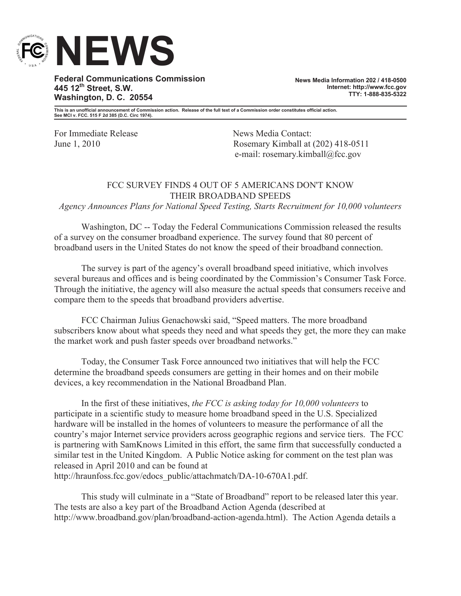

**Federal Communications Commission 445 12th Street, S.W. Washington, D. C. 20554**

**News Media Information 202 / 418-0500 Internet: http://www.fcc.gov TTY: 1-888-835-5322**

**This is an unofficial announcement of Commission action. Release of the full text of a Commission order constitutes official action. See MCI v. FCC. 515 F 2d 385 (D.C. Circ 1974).**

For Immediate Release News Media Contact:

June 1, 2010 Rosemary Kimball at (202) 418-0511 e-mail: rosemary.kimball@fcc.gov

## FCC SURVEY FINDS 4 OUT OF 5 AMERICANS DON'T KNOW THEIR BROADBAND SPEEDS

*Agency Announces Plans for National Speed Testing, Starts Recruitment for 10,000 volunteers*

Washington, DC -- Today the Federal Communications Commission released the results of a survey on the consumer broadband experience. The survey found that 80 percent of broadband users in the United States do not know the speed of their broadband connection.

The survey is part of the agency's overall broadband speed initiative, which involves several bureaus and offices and is being coordinated by the Commission's Consumer Task Force. Through the initiative, the agency will also measure the actual speeds that consumers receive and compare them to the speeds that broadband providers advertise.

FCC Chairman Julius Genachowski said, "Speed matters. The more broadband subscribers know about what speeds they need and what speeds they get, the more they can make the market work and push faster speeds over broadband networks."

Today, the Consumer Task Force announced two initiatives that will help the FCC determine the broadband speeds consumers are getting in their homes and on their mobile devices, a key recommendation in the National Broadband Plan.

In the first of these initiatives, *the FCC is asking today for 10,000 volunteers* to participate in a scientific study to measure home broadband speed in the U.S. Specialized hardware will be installed in the homes of volunteers to measure the performance of all the country's major Internet service providers across geographic regions and service tiers. The FCC is partnering with SamKnows Limited in this effort, the same firm that successfully conducted a similar test in the United Kingdom. A Public Notice asking for comment on the test plan was released in April 2010 and can be found at http://hraunfoss.fcc.gov/edocs\_public/attachmatch/DA-10-670A1.pdf.

This study will culminate in a "State of Broadband" report to be released later this year. The tests are also a key part of the Broadband Action Agenda (described at http://www.broadband.gov/plan/broadband-action-agenda.html). The Action Agenda details a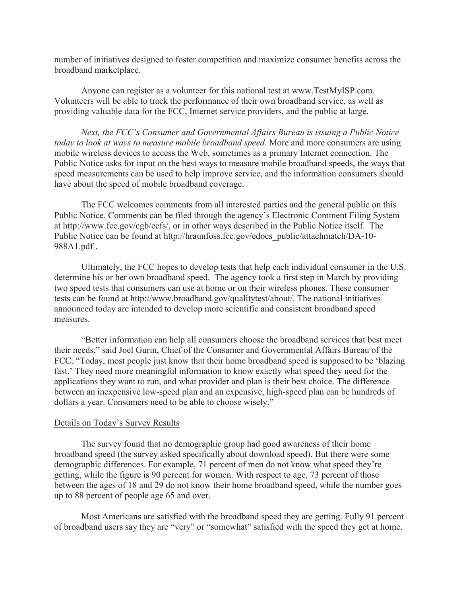number of initiatives designed to foster competition and maximize consumer benefits across the broadband marketplace.

Anyone can register as a volunteer for this national test at www.TestMyISP.com. Volunteers will be able to track the performance of their own broadband service, as well as providing valuable data for the FCC, Internet service providers, and the public at large.

*Next, the FCC's Consumer and Governmental Affairs Bureau is issuing a Public Notice today to look at ways to measure mobile broadband speed.* More and more consumers are using mobile wireless devices to access the Web, sometimes as a primary Internet connection. The Public Notice asks for input on the best ways to measure mobile broadband speeds, the ways that speed measurements can be used to help improve service, and the information consumers should have about the speed of mobile broadband coverage.

The FCC welcomes comments from all interested parties and the general public on this Public Notice. Comments can be filed through the agency's Electronic Comment Filing System at http://www.fcc.gov/cgb/ecfs/, or in other ways described in the Public Notice itself. The Public Notice can be found at http://hraunfoss.fcc.gov/edocs\_public/attachmatch/DA-10- 988A1.pdf .

Ultimately, the FCC hopes to develop tests that help each individual consumer in the U.S. determine his or her own broadband speed. The agency took a first step in March by providing two speed tests that consumers can use at home or on their wireless phones. These consumer tests can be found at http://www.broadband.gov/qualitytest/about/. The national initiatives announced today are intended to develop more scientific and consistent broadband speed measures.

"Better information can help all consumers choose the broadband services that best meet their needs," said Joel Gurin, Chief of the Consumer and Governmental Affairs Bureau of the FCC. "Today, most people just know that their home broadband speed is supposed to be 'blazing fast.' They need more meaningful information to know exactly what speed they need for the applications they want to run, and what provider and plan is their best choice. The difference between an inexpensive low-speed plan and an expensive, high-speed plan can be hundreds of dollars a year. Consumers need to be able to choose wisely."

## Details on Today's Survey Results

The survey found that no demographic group had good awareness of their home broadband speed (the survey asked specifically about download speed). But there were some demographic differences. For example, 71 percent of men do not know what speed they're getting, while the figure is 90 percent for women. With respect to age, 73 percent of those between the ages of 18 and 29 do not know their home broadband speed, while the number goes up to 88 percent of people age 65 and over.

Most Americans are satisfied with the broadband speed they are getting. Fully 91 percent of broadband users say they are "very" or "somewhat" satisfied with the speed they get at home.